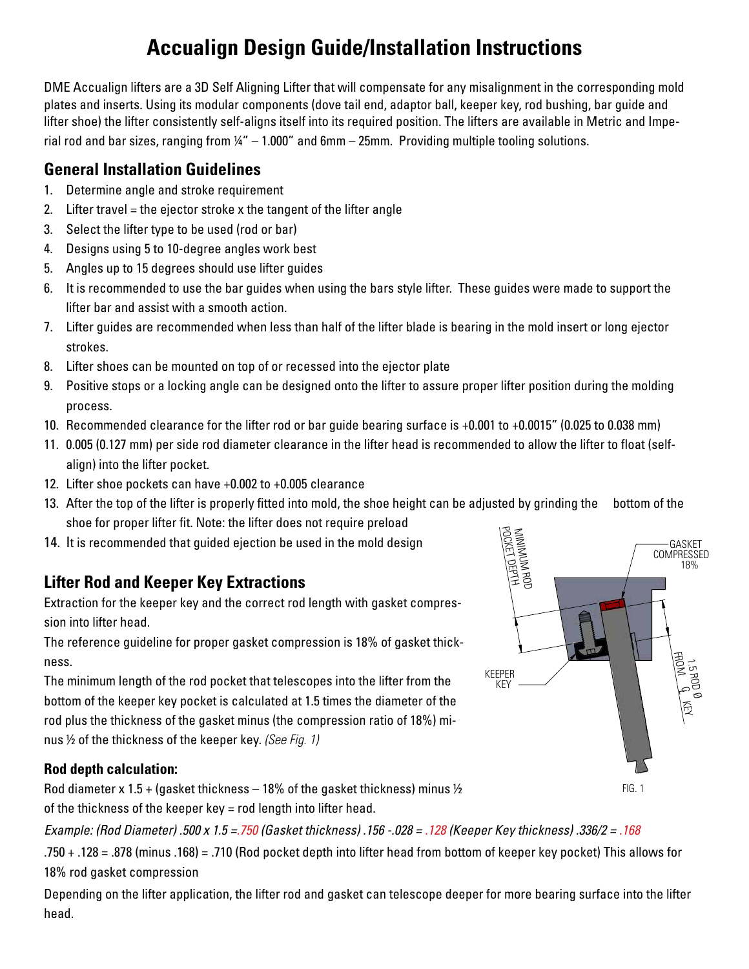# **Accualign Design Guide/Installation Instructions**

DME Accualign lifters are a 3D Self Aligning Lifter that will compensate for any misalignment in the corresponding mold plates and inserts. Using its modular components (dove tail end, adaptor ball, keeper key, rod bushing, bar guide and lifter shoe) the lifter consistently self-aligns itself into its required position. The lifters are available in Metric and Imperial rod and bar sizes, ranging from  $\frac{1}{4}$ " – 1.000" and 6mm – 25mm. Providing multiple tooling solutions.

## **General Installation Guidelines**

- 1. Determine angle and stroke requirement
- 2. Lifter travel = the ejector stroke x the tangent of the lifter angle
- 3. Select the lifter type to be used (rod or bar)
- 4. Designs using 5 to 10-degree angles work best
- 5. Angles up to 15 degrees should use lifter guides
- 6. It is recommended to use the bar guides when using the bars style lifter. These guides were made to support the lifter bar and assist with a smooth action.
- 7. Lifter guides are recommended when less than half of the lifter blade is bearing in the mold insert or long ejector strokes.
- 8. Lifter shoes can be mounted on top of or recessed into the ejector plate
- 9. Positive stops or a locking angle can be designed onto the lifter to assure proper lifter position during the molding process.
- 10. Recommended clearance for the lifter rod or bar guide bearing surface is +0.001 to +0.0015" (0.025 to 0.038 mm)
- 11. 0.005 (0.127 mm) per side rod diameter clearance in the lifter head is recommended to allow the lifter to float (selfalign) into the lifter pocket.
- 12. Lifter shoe pockets can have +0.002 to +0.005 clearance
- 13. After the top of the lifter is properly fitted into mold, the shoe height can be adjusted by grinding the bottom of the shoe for proper lifter fit. Note: the lifter does not require preload
- 14. It is recommended that guided ejection be used in the mold design

## **Lifter Rod and Keeper Key Extractions**

Extraction for the keeper key and the correct rod length with gasket compression into lifter head.

The reference guideline for proper gasket compression is 18% of gasket thickness.

The minimum length of the rod pocket that telescopes into the lifter from the bottom of the keeper key pocket is calculated at 1.5 times the diameter of the rod plus the thickness of the gasket minus (the compression ratio of 18%) minus ½ of the thickness of the keeper key. *(See Fig. 1)*

### **Rod depth calculation:**

Rod diameter x 1.5 + (gasket thickness  $-18\%$  of the gasket thickness) minus  $\frac{1}{2}$ of the thickness of the keeper key = rod length into lifter head.

*Example: (Rod Diameter) .500 x 1.5 =.750 (Gasket thickness) .156 -.028 = .128 (Keeper Key thickness) .336/2 = .168*

.750 + .128 = .878 (minus .168) = .710 (Rod pocket depth into lifter head from bottom of keeper key pocket) This allows for 18% rod gasket compression

Depending on the lifter application, the lifter rod and gasket can telescope deeper for more bearing surface into the lifter head.

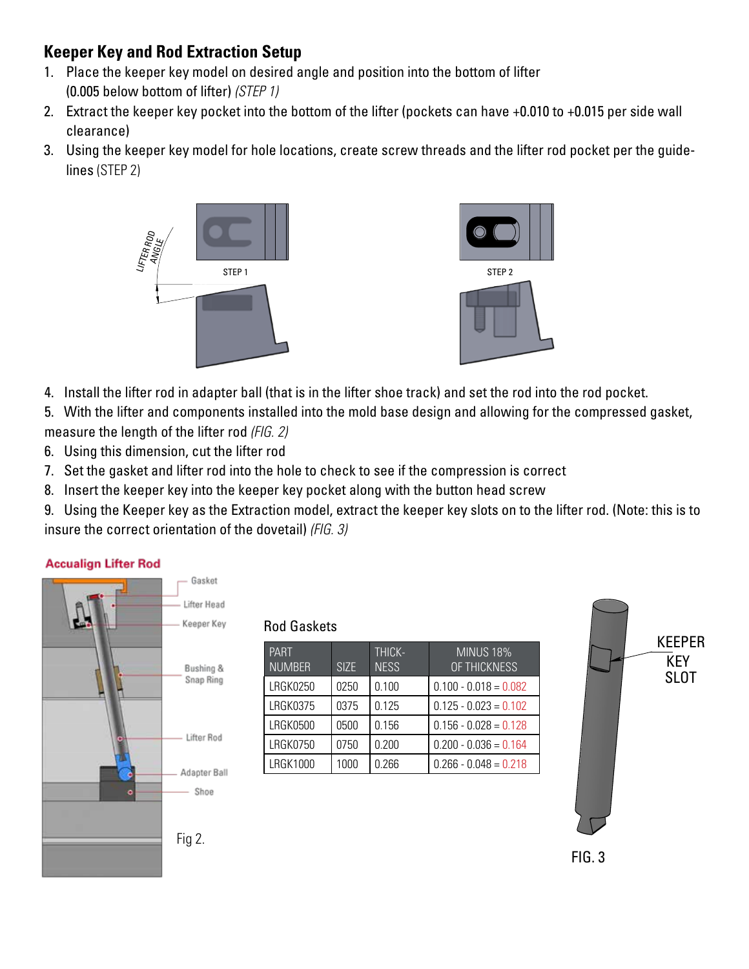## **Keeper Key and Rod Extraction Setup**

- 1. Place the keeper key model on desired angle and position into the bottom of lifter (0.005 below bottom of lifter) *(STEP 1)*
- 2. Extract the keeper key pocket into the bottom of the lifter (pockets can have +0.010 to +0.015 per side wall clearance)
- 3. Using the keeper key model for hole locations, create screw threads and the lifter rod pocket per the guidelines (STEP 2)



- 4. Install the lifter rod in adapter ball (that is in the lifter shoe track) and set the rod into the rod pocket.
- 5. With the lifter and components installed into the mold base design and allowing for the compressed gasket, measure the length of the lifter rod *(FIG. 2)*
- 6. Using this dimension, cut the lifter rod
- 7. Set the gasket and lifter rod into the hole to check to see if the compression is correct
- 8. Insert the keeper key into the keeper key pocket along with the button head screw
- 9. Using the Keeper key as the Extraction model, extract the keeper key slots on to the lifter rod. (Note: this is to insure the correct orientation of the dovetail) *(FIG. 3)*

#### **Accualign Lifter Rod**



#### Rod Gaskets

| <b>PART</b><br><b>NUMBER</b> | SI <sub>7</sub> F | THICK-<br><b>NESS</b> | <b>MINUS 18%</b><br>OF THICKNESS |
|------------------------------|-------------------|-----------------------|----------------------------------|
| <b>LRGK0250</b>              | 0250              | 0.100                 | $0.100 - 0.018 = 0.082$          |
| <b>LRGK0375</b>              | 0375              | 0.125                 | $0.125 - 0.023 = 0.102$          |
| <b>LRGK0500</b>              | 0500              | 0.156                 | $0.156 - 0.028 = 0.128$          |
| <b>LRGK0750</b>              | 0750              | 0.200                 | $0.200 - 0.036 = 0.164$          |
| <b>LRGK1000</b>              | 1000              | 0.266                 | $0.266 - 0.048 = 0.218$          |
|                              |                   |                       |                                  |



FIG. 3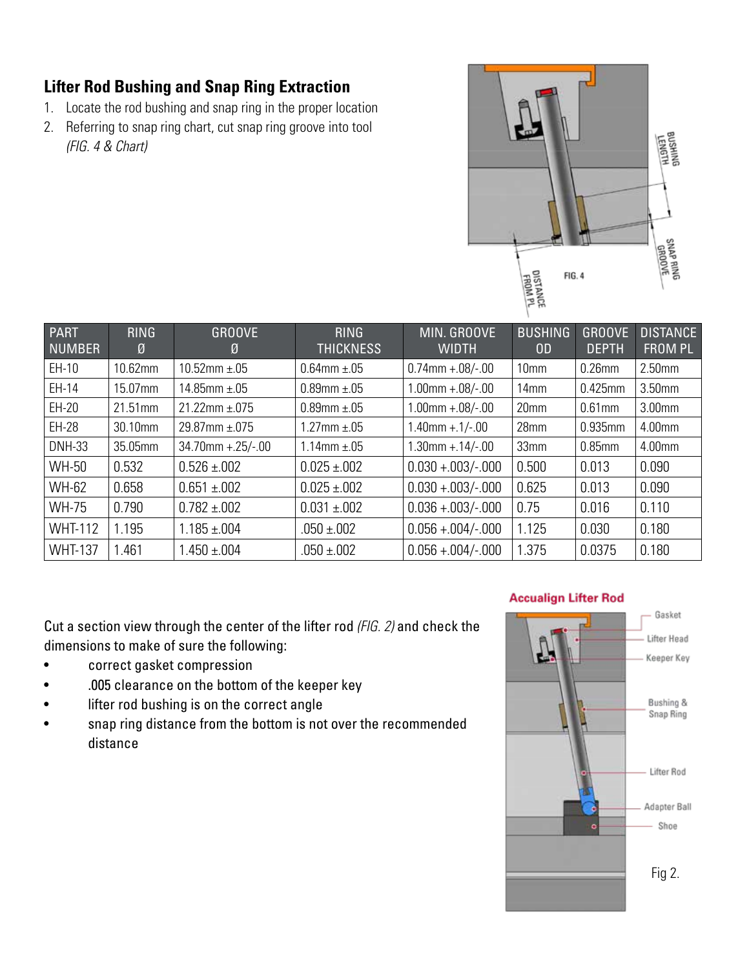## **Lifter Rod Bushing and Snap Ring Extraction**

- 1. Locate the rod bushing and snap ring in the proper location
- 2. Referring to snap ring chart, cut snap ring groove into tool *(FIG. 4 & Chart)*



| <b>PART</b><br><b>NUMBER</b> | <b>RING</b><br>Ø | <b>GROOVE</b><br>Ø    | <b>RING</b><br><b>THICKNESS</b> | MIN. GROOVE<br><b>WIDTH</b> | <b>BUSHING</b><br>0 <sub>D</sub> | <b>GROOVE</b><br><b>DEPTH</b> | <b>DISTANCE</b><br><b>FROM PL</b> |
|------------------------------|------------------|-----------------------|---------------------------------|-----------------------------|----------------------------------|-------------------------------|-----------------------------------|
| $EH-10$                      | 10.62mm          | 10.52mm $\pm$ .05     | $0.64$ mm $\pm .05$             | $0.74$ mm +.08/-.00         | 10 <sub>mm</sub>                 | $0.26$ mm                     | 2.50mm                            |
| EH-14                        | 15.07mm          | 14.85mm $\pm$ .05     | $0.89$ mm $\pm .05$             | $1.00$ mm $+.08/-.00$       | 14 <sub>mm</sub>                 | 0.425mm                       | 3.50mm                            |
| EH-20                        | 21.51mm          | $21.22$ mm $\pm .075$ | $0.89$ mm $\pm .05$             | $1.00$ mm $+.08/-.00$       | 20mm                             | $0.61$ mm                     | 3.00mm                            |
| EH-28                        | 30.10mm          | $29.87$ mm $\pm .075$ | $1.27$ mm $\pm .05$             | $1.40$ mm +.1/-.00          | 28mm                             | 0.935mm                       | 4.00mm                            |
| <b>DNH-33</b>                | 35.05mm          | $34.70$ mm +.25/-.00  | 1.14mm $\pm$ .05                | $1.30$ mm +.14/-.00         | 33mm                             | $0.85$ mm                     | 4.00mm                            |
| WH-50                        | 0.532            | $0.526 \pm 0.002$     | $0.025 \pm 0.002$               | $0.030 + 0.003/- 0.000$     | 0.500                            | 0.013                         | 0.090                             |
| <b>WH-62</b>                 | 0.658            | $0.651 \pm 0.002$     | $0.025 \pm 0.002$               | $0.030 + 0.003/- 0.000$     | 0.625                            | 0.013                         | 0.090                             |
| <b>WH-75</b>                 | 0.790            | $0.782 \pm 0.002$     | $0.031 \pm 0.002$               | $0.036 + 0.003/-000$        | 0.75                             | 0.016                         | 0.110                             |
| <b>WHT-112</b>               | 1.195            | $1.185 \pm 0.004$     | $.050 \pm .002$                 | $0.056 + 0.004/-000$        | 1.125                            | 0.030                         | 0.180                             |
| <b>WHT-137</b>               | 1.461            | $1.450 \pm 0.004$     | $.050 \pm .002$                 | $0.056 + 0.004/-000$        | 1.375                            | 0.0375                        | 0.180                             |

Cut a section view through the center of the lifter rod *(FIG. 2)* and check the dimensions to make of sure the following:

- correct gasket compression
- .005 clearance on the bottom of the keeper key
- lifter rod bushing is on the correct angle
- snap ring distance from the bottom is not over the recommended distance



#### **Accualign Lifter Rod**